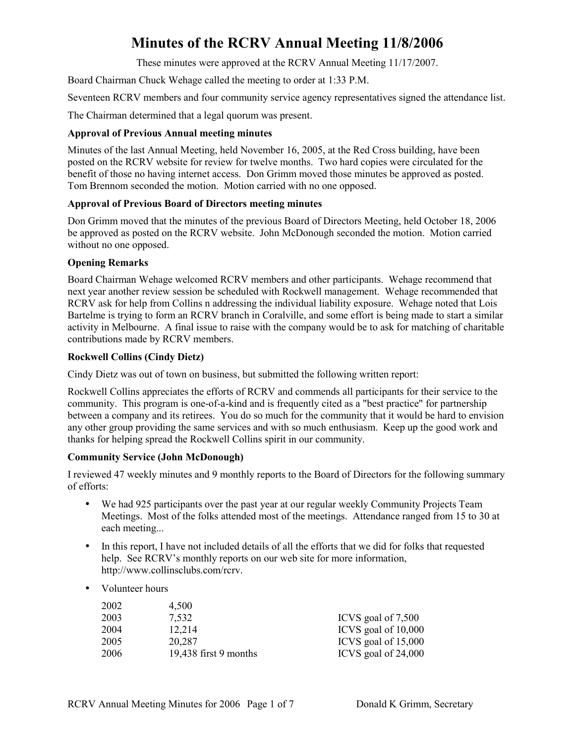These minutes were approved at the RCRV Annual Meeting 11/17/2007.

Board Chairman Chuck Wehage called the meeting to order at 1:33 P.M.

Seventeen RCRV members and four community service agency representatives signed the attendance list.

The Chairman determined that a legal quorum was present.

# **Approval of Previous Annual meeting minutes**

Minutes of the last Annual Meeting, held November 16, 2005, at the Red Cross building, have been posted on the RCRV website for review for twelve months. Two hard copies were circulated for the benefit of those no having internet access. Don Grimm moved those minutes be approved as posted. Tom Brennom seconded the motion. Motion carried with no one opposed.

# **Approval of Previous Board of Directors meeting minutes**

Don Grimm moved that the minutes of the previous Board of Directors Meeting, held October 18, 2006 be approved as posted on the RCRV website. John McDonough seconded the motion. Motion carried without no one opposed.

# **Opening Remarks**

Board Chairman Wehage welcomed RCRV members and other participants. Wehage recommend that next year another review session be scheduled with Rockwell management. Wehage recommended that RCRV ask for help from Collins n addressing the individual liability exposure. Wehage noted that Lois Bartelme is trying to form an RCRV branch in Coralville, and some effort is being made to start a similar activity in Melbourne. A final issue to raise with the company would be to ask for matching of charitable contributions made by RCRV members.

# **Rockwell Collins (Cindy Dietz)**

Cindy Dietz was out of town on business, but submitted the following written report:

Rockwell Collins appreciates the efforts of RCRV and commends all participants for their service to the community. This program is one-of-a-kind and is frequently cited as a "best practice" for partnership between a company and its retirees. You do so much for the community that it would be hard to envision any other group providing the same services and with so much enthusiasm. Keep up the good work and thanks for helping spread the Rockwell Collins spirit in our community.

#### **Community Service (John McDonough)**

I reviewed 47 weekly minutes and 9 monthly reports to the Board of Directors for the following summary of efforts:

- We had 925 participants over the past year at our regular weekly Community Projects Team Meetings. Most of the folks attended most of the meetings. Attendance ranged from 15 to 30 at each meeting...
- In this report, I have not included details of all the efforts that we did for folks that requested help. See RCRV's monthly reports on our web site for more information, http://www.collinsclubs.com/rcrv.
- Volunteer hours

| 2002 | 4.500                   |                     |
|------|-------------------------|---------------------|
| 2003 | 7.532                   | ICVS goal of 7,500  |
| 2004 | 12.214                  | ICVS goal of 10,000 |
| 2005 | 20.287                  | ICVS goal of 15,000 |
| 2006 | $19,438$ first 9 months | ICVS goal of 24,000 |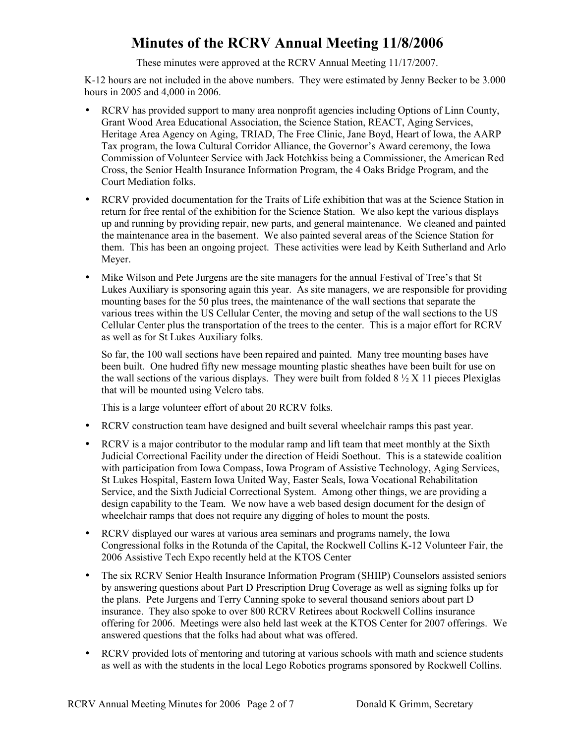These minutes were approved at the RCRV Annual Meeting 11/17/2007.

K-12 hours are not included in the above numbers. They were estimated by Jenny Becker to be 3.000 hours in 2005 and 4,000 in 2006.

- RCRV has provided support to many area nonprofit agencies including Options of Linn County, Grant Wood Area Educational Association, the Science Station, REACT, Aging Services, Heritage Area Agency on Aging, TRIAD, The Free Clinic, Jane Boyd, Heart of Iowa, the AARP Tax program, the Iowa Cultural Corridor Alliance, the Governor's Award ceremony, the Iowa Commission of Volunteer Service with Jack Hotchkiss being a Commissioner, the American Red Cross, the Senior Health Insurance Information Program, the 4 Oaks Bridge Program, and the Court Mediation folks.
- RCRV provided documentation for the Traits of Life exhibition that was at the Science Station in return for free rental of the exhibition for the Science Station. We also kept the various displays up and running by providing repair, new parts, and general maintenance. We cleaned and painted the maintenance area in the basement. We also painted several areas of the Science Station for them. This has been an ongoing project. These activities were lead by Keith Sutherland and Arlo Meyer.
- Mike Wilson and Pete Jurgens are the site managers for the annual Festival of Tree's that St Lukes Auxiliary is sponsoring again this year. As site managers, we are responsible for providing mounting bases for the 50 plus trees, the maintenance of the wall sections that separate the various trees within the US Cellular Center, the moving and setup of the wall sections to the US Cellular Center plus the transportation of the trees to the center. This is a major effort for RCRV as well as for St Lukes Auxiliary folks.

So far, the 100 wall sections have been repaired and painted. Many tree mounting bases have been built. One hudred fifty new message mounting plastic sheathes have been built for use on the wall sections of the various displays. They were built from folded  $8\frac{1}{2}$  X 11 pieces Plexiglas that will be mounted using Velcro tabs.

This is a large volunteer effort of about 20 RCRV folks.

- RCRV construction team have designed and built several wheelchair ramps this past year.
- RCRV is a major contributor to the modular ramp and lift team that meet monthly at the Sixth Judicial Correctional Facility under the direction of Heidi Soethout. This is a statewide coalition with participation from Iowa Compass, Iowa Program of Assistive Technology, Aging Services, St Lukes Hospital, Eastern Iowa United Way, Easter Seals, Iowa Vocational Rehabilitation Service, and the Sixth Judicial Correctional System. Among other things, we are providing a design capability to the Team. We now have a web based design document for the design of wheelchair ramps that does not require any digging of holes to mount the posts.
- RCRV displayed our wares at various area seminars and programs namely, the Iowa Congressional folks in the Rotunda of the Capital, the Rockwell Collins K-12 Volunteer Fair, the 2006 Assistive Tech Expo recently held at the KTOS Center
- The six RCRV Senior Health Insurance Information Program (SHIIP) Counselors assisted seniors by answering questions about Part D Prescription Drug Coverage as well as signing folks up for the plans. Pete Jurgens and Terry Canning spoke to several thousand seniors about part D insurance. They also spoke to over 800 RCRV Retirees about Rockwell Collins insurance offering for 2006. Meetings were also held last week at the KTOS Center for 2007 offerings. We answered questions that the folks had about what was offered.
- RCRV provided lots of mentoring and tutoring at various schools with math and science students as well as with the students in the local Lego Robotics programs sponsored by Rockwell Collins.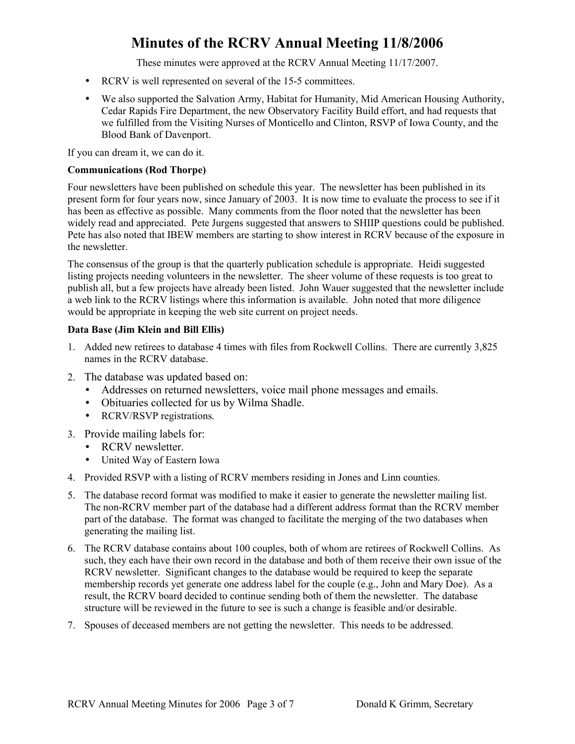These minutes were approved at the RCRV Annual Meeting 11/17/2007.

- RCRV is well represented on several of the 15-5 committees.
- We also supported the Salvation Army, Habitat for Humanity, Mid American Housing Authority, Cedar Rapids Fire Department, the new Observatory Facility Build effort, and had requests that we fulfilled from the Visiting Nurses of Monticello and Clinton, RSVP of Iowa County, and the Blood Bank of Davenport.

If you can dream it, we can do it.

#### **Communications (Rod Thorpe)**

Four newsletters have been published on schedule this year. The newsletter has been published in its present form for four years now, since January of 2003. It is now time to evaluate the process to see if it has been as effective as possible. Many comments from the floor noted that the newsletter has been widely read and appreciated. Pete Jurgens suggested that answers to SHIIP questions could be published. Pete has also noted that IBEW members are starting to show interest in RCRV because of the exposure in the newsletter.

The consensus of the group is that the quarterly publication schedule is appropriate. Heidi suggested listing projects needing volunteers in the newsletter. The sheer volume of these requests is too great to publish all, but a few projects have already been listed. John Wauer suggested that the newsletter include a web link to the RCRV listings where this information is available. John noted that more diligence would be appropriate in keeping the web site current on project needs.

#### **Data Base (Jim Klein and Bill Ellis)**

- 1. Added new retirees to database 4 times with files from Rockwell Collins. There are currently 3,825 names in the RCRV database.
- 2. The database was updated based on:
	- Addresses on returned newsletters, voice mail phone messages and emails.
	- Obituaries collected for us by Wilma Shadle.
	- RCRV/RSVP registrations.
- 3. Provide mailing labels for:
	- RCRV newsletter.
	- United Way of Eastern Iowa
- 4. Provided RSVP with a listing of RCRV members residing in Jones and Linn counties.
- 5. The database record format was modified to make it easier to generate the newsletter mailing list. The non-RCRV member part of the database had a different address format than the RCRV member part of the database. The format was changed to facilitate the merging of the two databases when generating the mailing list.
- 6. The RCRV database contains about 100 couples, both of whom are retirees of Rockwell Collins. As such, they each have their own record in the database and both of them receive their own issue of the RCRV newsletter. Significant changes to the database would be required to keep the separate membership records yet generate one address label for the couple (e.g., John and Mary Doe). As a result, the RCRV board decided to continue sending both of them the newsletter. The database structure will be reviewed in the future to see is such a change is feasible and/or desirable.
- 7. Spouses of deceased members are not getting the newsletter. This needs to be addressed.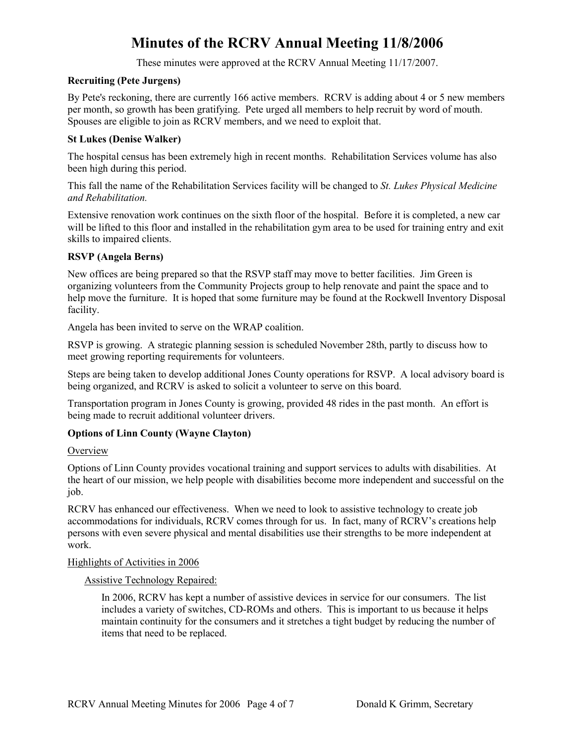These minutes were approved at the RCRV Annual Meeting 11/17/2007.

# **Recruiting (Pete Jurgens)**

By Pete's reckoning, there are currently 166 active members. RCRV is adding about 4 or 5 new members per month, so growth has been gratifying. Pete urged all members to help recruit by word of mouth. Spouses are eligible to join as RCRV members, and we need to exploit that.

## **St Lukes (Denise Walker)**

The hospital census has been extremely high in recent months. Rehabilitation Services volume has also been high during this period.

This fall the name of the Rehabilitation Services facility will be changed to *St. Lukes Physical Medicine and Rehabilitation.* 

Extensive renovation work continues on the sixth floor of the hospital. Before it is completed, a new car will be lifted to this floor and installed in the rehabilitation gym area to be used for training entry and exit skills to impaired clients.

# **RSVP (Angela Berns)**

New offices are being prepared so that the RSVP staff may move to better facilities. Jim Green is organizing volunteers from the Community Projects group to help renovate and paint the space and to help move the furniture. It is hoped that some furniture may be found at the Rockwell Inventory Disposal facility.

Angela has been invited to serve on the WRAP coalition.

RSVP is growing. A strategic planning session is scheduled November 28th, partly to discuss how to meet growing reporting requirements for volunteers.

Steps are being taken to develop additional Jones County operations for RSVP. A local advisory board is being organized, and RCRV is asked to solicit a volunteer to serve on this board.

Transportation program in Jones County is growing, provided 48 rides in the past month. An effort is being made to recruit additional volunteer drivers.

# **Options of Linn County (Wayne Clayton)**

#### **Overview**

Options of Linn County provides vocational training and support services to adults with disabilities. At the heart of our mission, we help people with disabilities become more independent and successful on the job.

RCRV has enhanced our effectiveness. When we need to look to assistive technology to create job accommodations for individuals, RCRV comes through for us. In fact, many of RCRV's creations help persons with even severe physical and mental disabilities use their strengths to be more independent at work.

#### Highlights of Activities in 2006

#### Assistive Technology Repaired:

In 2006, RCRV has kept a number of assistive devices in service for our consumers. The list includes a variety of switches, CD-ROMs and others. This is important to us because it helps maintain continuity for the consumers and it stretches a tight budget by reducing the number of items that need to be replaced.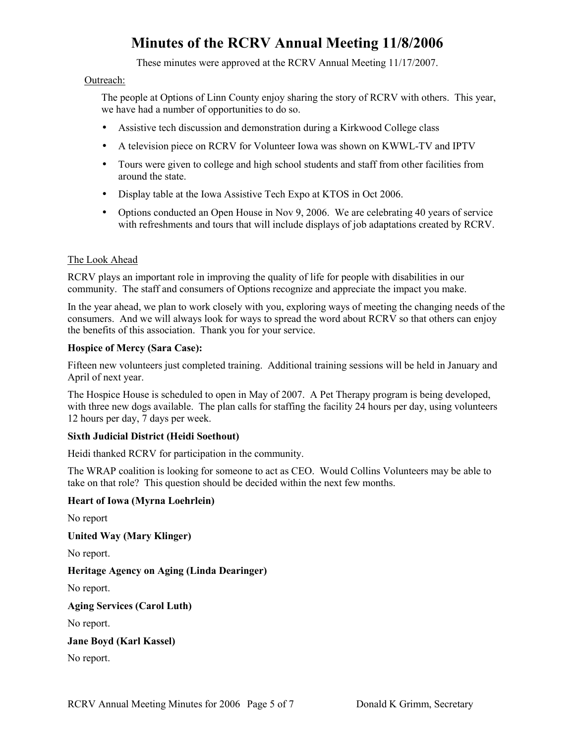These minutes were approved at the RCRV Annual Meeting 11/17/2007.

#### Outreach:

The people at Options of Linn County enjoy sharing the story of RCRV with others. This year, we have had a number of opportunities to do so.

- Assistive tech discussion and demonstration during a Kirkwood College class
- A television piece on RCRV for Volunteer Iowa was shown on KWWL-TV and IPTV
- Tours were given to college and high school students and staff from other facilities from around the state.
- Display table at the Iowa Assistive Tech Expo at KTOS in Oct 2006.
- Options conducted an Open House in Nov 9, 2006. We are celebrating 40 years of service with refreshments and tours that will include displays of job adaptations created by RCRV.

# The Look Ahead

RCRV plays an important role in improving the quality of life for people with disabilities in our community. The staff and consumers of Options recognize and appreciate the impact you make.

In the year ahead, we plan to work closely with you, exploring ways of meeting the changing needs of the consumers. And we will always look for ways to spread the word about RCRV so that others can enjoy the benefits of this association. Thank you for your service.

#### **Hospice of Mercy (Sara Case):**

Fifteen new volunteers just completed training. Additional training sessions will be held in January and April of next year.

The Hospice House is scheduled to open in May of 2007. A Pet Therapy program is being developed, with three new dogs available. The plan calls for staffing the facility 24 hours per day, using volunteers 12 hours per day, 7 days per week.

#### **Sixth Judicial District (Heidi Soethout)**

Heidi thanked RCRV for participation in the community.

The WRAP coalition is looking for someone to act as CEO. Would Collins Volunteers may be able to take on that role? This question should be decided within the next few months.

#### **Heart of Iowa (Myrna Loehrlein)**

No report

**United Way (Mary Klinger)** 

No report.

**Heritage Agency on Aging (Linda Dearinger)** 

No report.

**Aging Services (Carol Luth)** 

No report.

**Jane Boyd (Karl Kassel)** 

No report.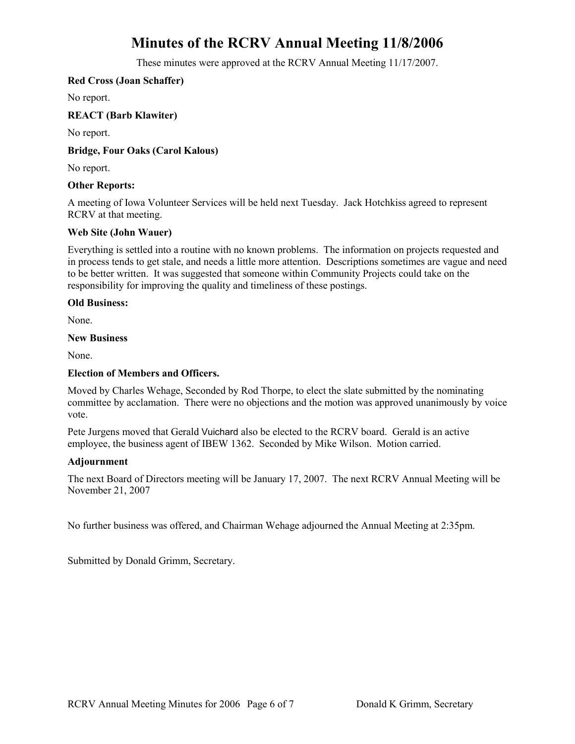These minutes were approved at the RCRV Annual Meeting 11/17/2007.

# **Red Cross (Joan Schaffer)**

No report.

# **REACT (Barb Klawiter)**

No report.

# **Bridge, Four Oaks (Carol Kalous)**

No report.

#### **Other Reports:**

A meeting of Iowa Volunteer Services will be held next Tuesday. Jack Hotchkiss agreed to represent RCRV at that meeting.

# **Web Site (John Wauer)**

Everything is settled into a routine with no known problems. The information on projects requested and in process tends to get stale, and needs a little more attention. Descriptions sometimes are vague and need to be better written. It was suggested that someone within Community Projects could take on the responsibility for improving the quality and timeliness of these postings.

#### **Old Business:**

None.

#### **New Business**

None.

### **Election of Members and Officers.**

Moved by Charles Wehage, Seconded by Rod Thorpe, to elect the slate submitted by the nominating committee by acclamation. There were no objections and the motion was approved unanimously by voice vote.

Pete Jurgens moved that Gerald Vuichard also be elected to the RCRV board. Gerald is an active employee, the business agent of IBEW 1362. Seconded by Mike Wilson. Motion carried.

#### **Adjournment**

The next Board of Directors meeting will be January 17, 2007. The next RCRV Annual Meeting will be November 21, 2007

No further business was offered, and Chairman Wehage adjourned the Annual Meeting at 2:35pm.

Submitted by Donald Grimm, Secretary.